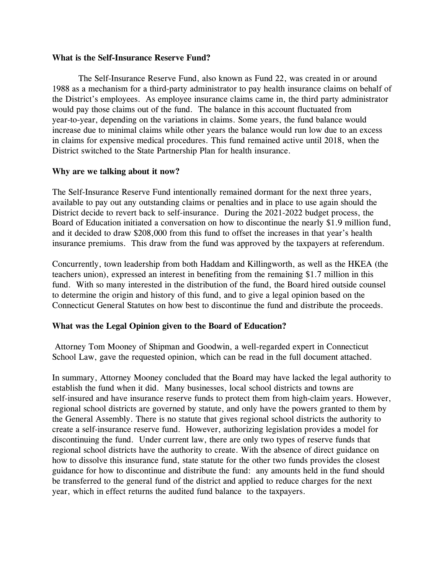## **What is the Self-Insurance Reserve Fund?**

The Self-Insurance Reserve Fund, also known as Fund 22, was created in or around 1988 as a mechanism for a third-party administrator to pay health insurance claims on behalf of the District's employees. As employee insurance claims came in, the third party administrator would pay those claims out of the fund. The balance in this account fluctuated from year-to-year, depending on the variations in claims. Some years, the fund balance would increase due to minimal claims while other years the balance would run low due to an excess in claims for expensive medical procedures. This fund remained active until 2018, when the District switched to the State Partnership Plan for health insurance.

## **Why are we talking about it now?**

The Self-Insurance Reserve Fund intentionally remained dormant for the next three years, available to pay out any outstanding claims or penalties and in place to use again should the District decide to revert back to self-insurance. During the 2021-2022 budget process, the Board of Education initiated a conversation on how to discontinue the nearly \$1.9 million fund, and it decided to draw \$208,000 from this fund to offset the increases in that year's health insurance premiums. This draw from the fund was approved by the taxpayers at referendum.

Concurrently, town leadership from both Haddam and Killingworth, as well as the HKEA (the teachers union), expressed an interest in benefiting from the remaining \$1.7 million in this fund. With so many interested in the distribution of the fund, the Board hired outside counsel to determine the origin and history of this fund, and to give a legal opinion based on the Connecticut General Statutes on how best to discontinue the fund and distribute the proceeds.

## **What was the Legal Opinion given to the Board of Education?**

Attorney Tom Mooney of Shipman and Goodwin, a well-regarded expert in Connecticut School Law, gave the requested opinion, which can be read in the full document attached.

In summary, Attorney Mooney concluded that the Board may have lacked the legal authority to establish the fund when it did. Many businesses, local school districts and towns are self-insured and have insurance reserve funds to protect them from high-claim years. However, regional school districts are governed by statute, and only have the powers granted to them by the General Assembly. There is no statute that gives regional school districts the authority to create a self-insurance reserve fund. However, authorizing legislation provides a model for discontinuing the fund. Under current law, there are only two types of reserve funds that regional school districts have the authority to create. With the absence of direct guidance on how to dissolve this insurance fund, state statute for the other two funds provides the closest guidance for how to discontinue and distribute the fund: any amounts held in the fund should be transferred to the general fund of the district and applied to reduce charges for the next year, which in effect returns the audited fund balance to the taxpayers.